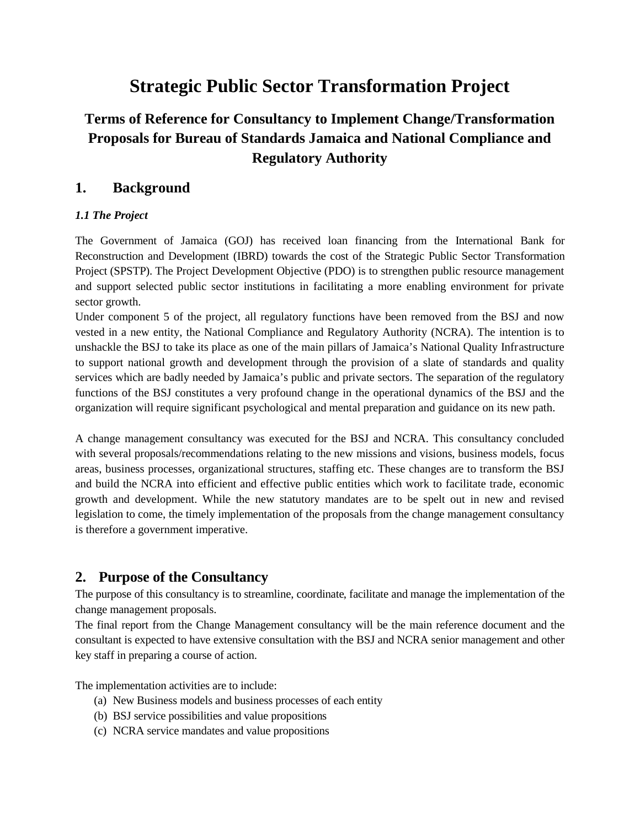# **Strategic Public Sector Transformation Project**

## **Terms of Reference for Consultancy to Implement Change/Transformation Proposals for Bureau of Standards Jamaica and National Compliance and Regulatory Authority**

### **1. Background**

#### *1.1 The Project*

The Government of Jamaica (GOJ) has received loan financing from the International Bank for Reconstruction and Development (IBRD) towards the cost of the Strategic Public Sector Transformation Project (SPSTP). The Project Development Objective (PDO) is to strengthen public resource management and support selected public sector institutions in facilitating a more enabling environment for private sector growth.

Under component 5 of the project, all regulatory functions have been removed from the BSJ and now vested in a new entity, the National Compliance and Regulatory Authority (NCRA). The intention is to unshackle the BSJ to take its place as one of the main pillars of Jamaica's National Quality Infrastructure to support national growth and development through the provision of a slate of standards and quality services which are badly needed by Jamaica's public and private sectors. The separation of the regulatory functions of the BSJ constitutes a very profound change in the operational dynamics of the BSJ and the organization will require significant psychological and mental preparation and guidance on its new path.

A change management consultancy was executed for the BSJ and NCRA. This consultancy concluded with several proposals/recommendations relating to the new missions and visions, business models, focus areas, business processes, organizational structures, staffing etc. These changes are to transform the BSJ and build the NCRA into efficient and effective public entities which work to facilitate trade, economic growth and development. While the new statutory mandates are to be spelt out in new and revised legislation to come, the timely implementation of the proposals from the change management consultancy is therefore a government imperative.

#### **2. Purpose of the Consultancy**

The purpose of this consultancy is to streamline, coordinate, facilitate and manage the implementation of the change management proposals.

The final report from the Change Management consultancy will be the main reference document and the consultant is expected to have extensive consultation with the BSJ and NCRA senior management and other key staff in preparing a course of action.

The implementation activities are to include:

- (a) New Business models and business processes of each entity
- (b) BSJ service possibilities and value propositions
- (c) NCRA service mandates and value propositions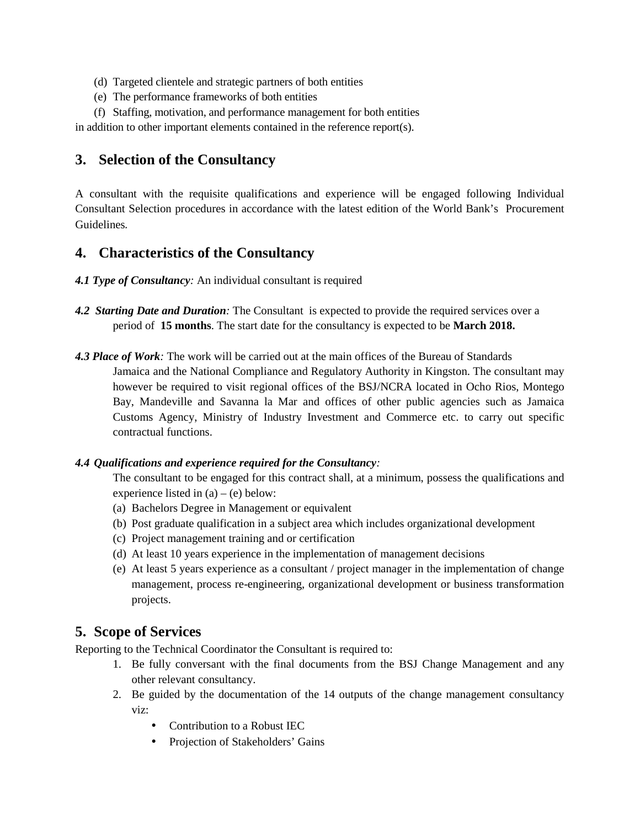- (d) Targeted clientele and strategic partners of both entities
- (e) The performance frameworks of both entities
- (f) Staffing, motivation, and performance management for both entities

in addition to other important elements contained in the reference report(s).

### **3. Selection of the Consultancy**

A consultant with the requisite qualifications and experience will be engaged following Individual Consultant Selection procedures in accordance with the latest edition of the World Bank's Procurement Guidelines*.*

#### **4. Characteristics of the Consultancy**

- *4.1 Type of Consultancy:* An individual consultant is required
- *4.2 Starting Date and Duration:* The Consultant is expected to provide the required services over a period of **15 months**. The start date for the consultancy is expected to be **March 2018.**
- *4.3 Place of Work:* The work will be carried out at the main offices of the Bureau of Standards Jamaica and the National Compliance and Regulatory Authority in Kingston. The consultant may however be required to visit regional offices of the BSJ/NCRA located in Ocho Rios, Montego Bay, Mandeville and Savanna la Mar and offices of other public agencies such as Jamaica Customs Agency, Ministry of Industry Investment and Commerce etc. to carry out specific contractual functions.

#### *4.4 Qualifications and experience required for the Consultancy:*

The consultant to be engaged for this contract shall, at a minimum, possess the qualifications and experience listed in  $(a) - (e)$  below:

- (a) Bachelors Degree in Management or equivalent
- (b) Post graduate qualification in a subject area which includes organizational development
- (c) Project management training and or certification
- (d) At least 10 years experience in the implementation of management decisions
- (e) At least 5 years experience as a consultant / project manager in the implementation of change management, process re-engineering, organizational development or business transformation projects.

#### **5. Scope of Services**

Reporting to the Technical Coordinator the Consultant is required to:

- 1. Be fully conversant with the final documents from the BSJ Change Management and any other relevant consultancy.
- 2. Be guided by the documentation of the 14 outputs of the change management consultancy viz:
	- Contribution to a Robust IEC
	- Projection of Stakeholders' Gains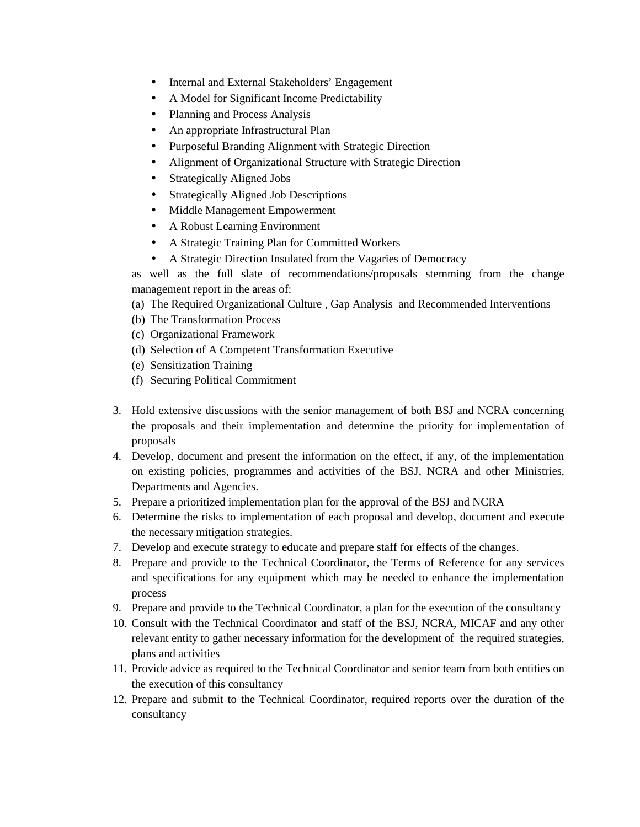- Internal and External Stakeholders' Engagement
- A Model for Significant Income Predictability
- Planning and Process Analysis
- An appropriate Infrastructural Plan
- Purposeful Branding Alignment with Strategic Direction
- Alignment of Organizational Structure with Strategic Direction
- Strategically Aligned Jobs
- Strategically Aligned Job Descriptions
- Middle Management Empowerment
- A Robust Learning Environment
- A Strategic Training Plan for Committed Workers
- A Strategic Direction Insulated from the Vagaries of Democracy

as well as the full slate of recommendations/proposals stemming from the change management report in the areas of:

- (a) The Required Organizational Culture , Gap Analysis and Recommended Interventions
- (b) The Transformation Process
- (c) Organizational Framework
- (d) Selection of A Competent Transformation Executive
- (e) Sensitization Training
- (f) Securing Political Commitment
- 3. Hold extensive discussions with the senior management of both BSJ and NCRA concerning the proposals and their implementation and determine the priority for implementation of proposals
- 4. Develop, document and present the information on the effect, if any, of the implementation on existing policies, programmes and activities of the BSJ, NCRA and other Ministries, Departments and Agencies.
- 5. Prepare a prioritized implementation plan for the approval of the BSJ and NCRA
- 6. Determine the risks to implementation of each proposal and develop, document and execute the necessary mitigation strategies.
- 7. Develop and execute strategy to educate and prepare staff for effects of the changes.
- 8. Prepare and provide to the Technical Coordinator, the Terms of Reference for any services and specifications for any equipment which may be needed to enhance the implementation process
- 9. Prepare and provide to the Technical Coordinator, a plan for the execution of the consultancy
- 10. Consult with the Technical Coordinator and staff of the BSJ, NCRA, MICAF and any other relevant entity to gather necessary information for the development of the required strategies, plans and activities
- 11. Provide advice as required to the Technical Coordinator and senior team from both entities on the execution of this consultancy
- 12. Prepare and submit to the Technical Coordinator, required reports over the duration of the consultancy